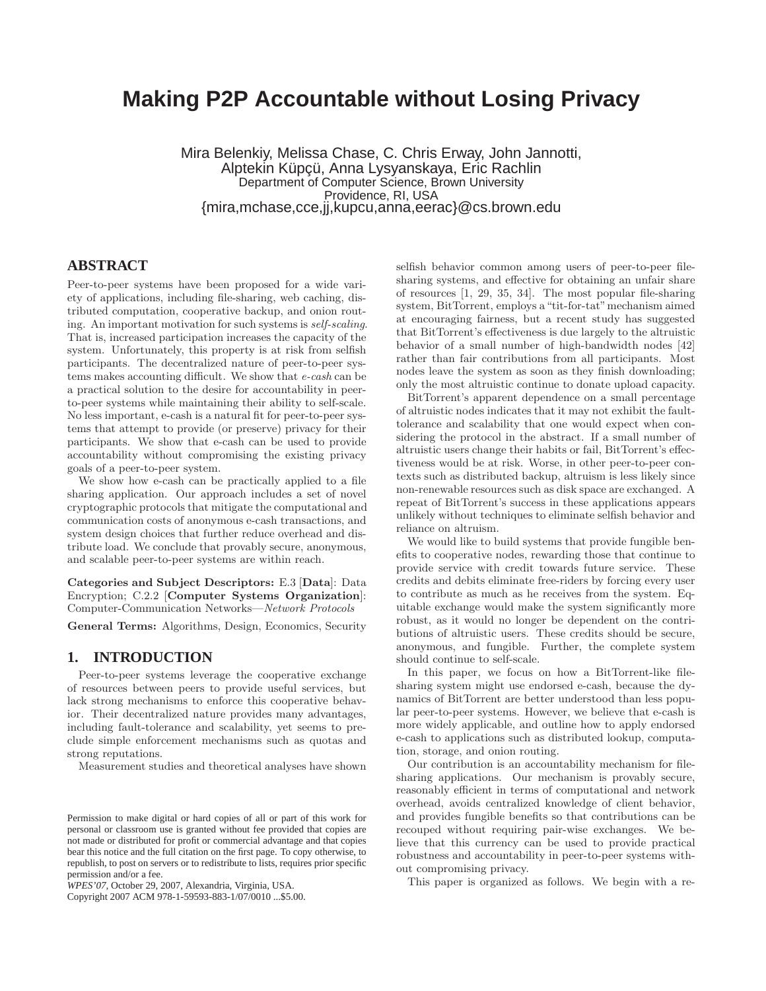# **Making P2P Accountable without Losing Privacy**

Mira Belenkiy, Melissa Chase, C. Chris Erway, John Jannotti, Alptekin Küpçü, Anna Lysyanskaya, Eric Rachlin Department of Computer Science, Brown University Providence, RI, USA {mira,mchase,cce,jj,kupcu,anna,eerac}@cs.brown.edu

## **ABSTRACT**

Peer-to-peer systems have been proposed for a wide variety of applications, including file-sharing, web caching, distributed computation, cooperative backup, and onion routing. An important motivation for such systems is self-scaling. That is, increased participation increases the capacity of the system. Unfortunately, this property is at risk from selfish participants. The decentralized nature of peer-to-peer systems makes accounting difficult. We show that e-cash can be a practical solution to the desire for accountability in peerto-peer systems while maintaining their ability to self-scale. No less important, e-cash is a natural fit for peer-to-peer systems that attempt to provide (or preserve) privacy for their participants. We show that e-cash can be used to provide accountability without compromising the existing privacy goals of a peer-to-peer system.

We show how e-cash can be practically applied to a file sharing application. Our approach includes a set of novel cryptographic protocols that mitigate the computational and communication costs of anonymous e-cash transactions, and system design choices that further reduce overhead and distribute load. We conclude that provably secure, anonymous, and scalable peer-to-peer systems are within reach.

Categories and Subject Descriptors: E.3 [Data]: Data Encryption; C.2.2 [Computer Systems Organization]: Computer-Communication Networks—Network Protocols

General Terms: Algorithms, Design, Economics, Security

## **1. INTRODUCTION**

Peer-to-peer systems leverage the cooperative exchange of resources between peers to provide useful services, but lack strong mechanisms to enforce this cooperative behavior. Their decentralized nature provides many advantages, including fault-tolerance and scalability, yet seems to preclude simple enforcement mechanisms such as quotas and strong reputations.

Measurement studies and theoretical analyses have shown

Copyright 2007 ACM 978-1-59593-883-1/07/0010 ...\$5.00.

selfish behavior common among users of peer-to-peer filesharing systems, and effective for obtaining an unfair share of resources [1, 29, 35, 34]. The most popular file-sharing system, BitTorrent, employs a "tit-for-tat" mechanism aimed at encouraging fairness, but a recent study has suggested that BitTorrent's effectiveness is due largely to the altruistic behavior of a small number of high-bandwidth nodes [42] rather than fair contributions from all participants. Most nodes leave the system as soon as they finish downloading; only the most altruistic continue to donate upload capacity.

BitTorrent's apparent dependence on a small percentage of altruistic nodes indicates that it may not exhibit the faulttolerance and scalability that one would expect when considering the protocol in the abstract. If a small number of altruistic users change their habits or fail, BitTorrent's effectiveness would be at risk. Worse, in other peer-to-peer contexts such as distributed backup, altruism is less likely since non-renewable resources such as disk space are exchanged. A repeat of BitTorrent's success in these applications appears unlikely without techniques to eliminate selfish behavior and reliance on altruism.

We would like to build systems that provide fungible benefits to cooperative nodes, rewarding those that continue to provide service with credit towards future service. These credits and debits eliminate free-riders by forcing every user to contribute as much as he receives from the system. Equitable exchange would make the system significantly more robust, as it would no longer be dependent on the contributions of altruistic users. These credits should be secure, anonymous, and fungible. Further, the complete system should continue to self-scale.

In this paper, we focus on how a BitTorrent-like filesharing system might use endorsed e-cash, because the dynamics of BitTorrent are better understood than less popular peer-to-peer systems. However, we believe that e-cash is more widely applicable, and outline how to apply endorsed e-cash to applications such as distributed lookup, computation, storage, and onion routing.

Our contribution is an accountability mechanism for filesharing applications. Our mechanism is provably secure, reasonably efficient in terms of computational and network overhead, avoids centralized knowledge of client behavior, and provides fungible benefits so that contributions can be recouped without requiring pair-wise exchanges. We believe that this currency can be used to provide practical robustness and accountability in peer-to-peer systems without compromising privacy.

This paper is organized as follows. We begin with a re-

Permission to make digital or hard copies of all or part of this work for personal or classroom use is granted without fee provided that copies are not made or distributed for profit or commercial advantage and that copies bear this notice and the full citation on the first page. To copy otherwise, to republish, to post on servers or to redistribute to lists, requires prior specific permission and/or a fee.

*WPES'07,* October 29, 2007, Alexandria, Virginia, USA.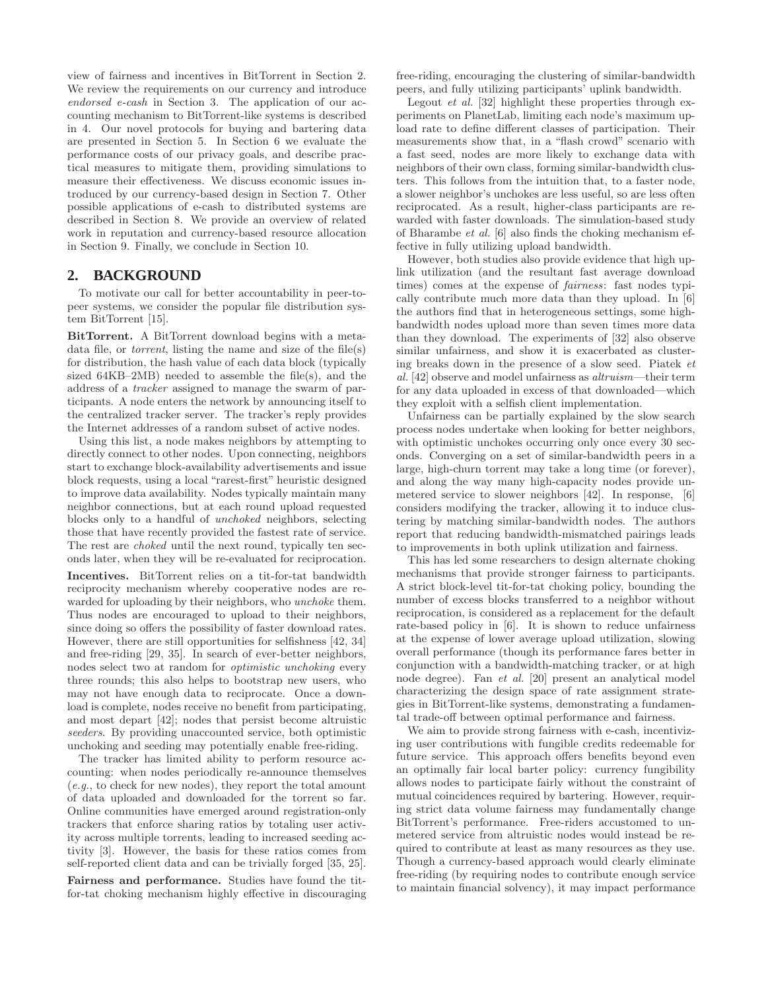view of fairness and incentives in BitTorrent in Section 2. We review the requirements on our currency and introduce endorsed e-cash in Section 3. The application of our accounting mechanism to BitTorrent-like systems is described in 4. Our novel protocols for buying and bartering data are presented in Section 5. In Section 6 we evaluate the performance costs of our privacy goals, and describe practical measures to mitigate them, providing simulations to measure their effectiveness. We discuss economic issues introduced by our currency-based design in Section 7. Other possible applications of e-cash to distributed systems are described in Section 8. We provide an overview of related work in reputation and currency-based resource allocation in Section 9. Finally, we conclude in Section 10.

# **2. BACKGROUND**

To motivate our call for better accountability in peer-topeer systems, we consider the popular file distribution system BitTorrent [15].

BitTorrent. A BitTorrent download begins with a metadata file, or torrent, listing the name and size of the file(s) for distribution, the hash value of each data block (typically sized 64KB–2MB) needed to assemble the file(s), and the address of a tracker assigned to manage the swarm of participants. A node enters the network by announcing itself to the centralized tracker server. The tracker's reply provides the Internet addresses of a random subset of active nodes.

Using this list, a node makes neighbors by attempting to directly connect to other nodes. Upon connecting, neighbors start to exchange block-availability advertisements and issue block requests, using a local "rarest-first" heuristic designed to improve data availability. Nodes typically maintain many neighbor connections, but at each round upload requested blocks only to a handful of unchoked neighbors, selecting those that have recently provided the fastest rate of service. The rest are choked until the next round, typically ten seconds later, when they will be re-evaluated for reciprocation.

Incentives. BitTorrent relies on a tit-for-tat bandwidth reciprocity mechanism whereby cooperative nodes are rewarded for uploading by their neighbors, who *unchoke* them. Thus nodes are encouraged to upload to their neighbors, since doing so offers the possibility of faster download rates. However, there are still opportunities for selfishness [42, 34] and free-riding [29, 35]. In search of ever-better neighbors, nodes select two at random for optimistic unchoking every three rounds; this also helps to bootstrap new users, who may not have enough data to reciprocate. Once a download is complete, nodes receive no benefit from participating, and most depart [42]; nodes that persist become altruistic seeders. By providing unaccounted service, both optimistic unchoking and seeding may potentially enable free-riding.

The tracker has limited ability to perform resource accounting: when nodes periodically re-announce themselves (e.g., to check for new nodes), they report the total amount of data uploaded and downloaded for the torrent so far. Online communities have emerged around registration-only trackers that enforce sharing ratios by totaling user activity across multiple torrents, leading to increased seeding activity [3]. However, the basis for these ratios comes from self-reported client data and can be trivially forged [35, 25].

Fairness and performance. Studies have found the titfor-tat choking mechanism highly effective in discouraging free-riding, encouraging the clustering of similar-bandwidth peers, and fully utilizing participants' uplink bandwidth.

Legout  $et \ al.$  [32] highlight these properties through experiments on PlanetLab, limiting each node's maximum upload rate to define different classes of participation. Their measurements show that, in a "flash crowd" scenario with a fast seed, nodes are more likely to exchange data with neighbors of their own class, forming similar-bandwidth clusters. This follows from the intuition that, to a faster node, a slower neighbor's unchokes are less useful, so are less often reciprocated. As a result, higher-class participants are rewarded with faster downloads. The simulation-based study of Bharambe et al. [6] also finds the choking mechanism effective in fully utilizing upload bandwidth.

However, both studies also provide evidence that high uplink utilization (and the resultant fast average download times) comes at the expense of *fairness*: fast nodes typically contribute much more data than they upload. In [6] the authors find that in heterogeneous settings, some highbandwidth nodes upload more than seven times more data than they download. The experiments of [32] also observe similar unfairness, and show it is exacerbated as clustering breaks down in the presence of a slow seed. Piatek et al. [42] observe and model unfairness as altruism—their term for any data uploaded in excess of that downloaded—which they exploit with a selfish client implementation.

Unfairness can be partially explained by the slow search process nodes undertake when looking for better neighbors, with optimistic unchokes occurring only once every 30 seconds. Converging on a set of similar-bandwidth peers in a large, high-churn torrent may take a long time (or forever), and along the way many high-capacity nodes provide unmetered service to slower neighbors [42]. In response, [6] considers modifying the tracker, allowing it to induce clustering by matching similar-bandwidth nodes. The authors report that reducing bandwidth-mismatched pairings leads to improvements in both uplink utilization and fairness.

This has led some researchers to design alternate choking mechanisms that provide stronger fairness to participants. A strict block-level tit-for-tat choking policy, bounding the number of excess blocks transferred to a neighbor without reciprocation, is considered as a replacement for the default rate-based policy in [6]. It is shown to reduce unfairness at the expense of lower average upload utilization, slowing overall performance (though its performance fares better in conjunction with a bandwidth-matching tracker, or at high node degree). Fan et al. [20] present an analytical model characterizing the design space of rate assignment strategies in BitTorrent-like systems, demonstrating a fundamental trade-off between optimal performance and fairness.

We aim to provide strong fairness with e-cash, incentivizing user contributions with fungible credits redeemable for future service. This approach offers benefits beyond even an optimally fair local barter policy: currency fungibility allows nodes to participate fairly without the constraint of mutual coincidences required by bartering. However, requiring strict data volume fairness may fundamentally change BitTorrent's performance. Free-riders accustomed to unmetered service from altruistic nodes would instead be required to contribute at least as many resources as they use. Though a currency-based approach would clearly eliminate free-riding (by requiring nodes to contribute enough service to maintain financial solvency), it may impact performance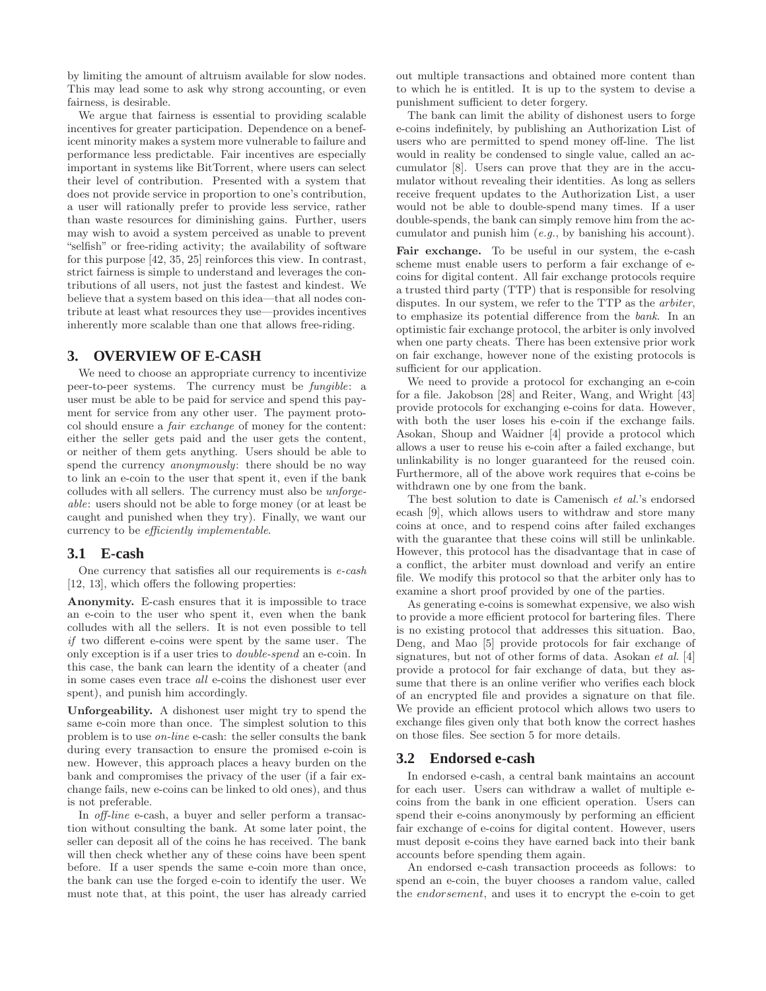by limiting the amount of altruism available for slow nodes. This may lead some to ask why strong accounting, or even fairness, is desirable.

We argue that fairness is essential to providing scalable incentives for greater participation. Dependence on a beneficent minority makes a system more vulnerable to failure and performance less predictable. Fair incentives are especially important in systems like BitTorrent, where users can select their level of contribution. Presented with a system that does not provide service in proportion to one's contribution, a user will rationally prefer to provide less service, rather than waste resources for diminishing gains. Further, users may wish to avoid a system perceived as unable to prevent "selfish" or free-riding activity; the availability of software for this purpose [42, 35, 25] reinforces this view. In contrast, strict fairness is simple to understand and leverages the contributions of all users, not just the fastest and kindest. We believe that a system based on this idea—that all nodes contribute at least what resources they use—provides incentives inherently more scalable than one that allows free-riding.

#### **3. OVERVIEW OF E-CASH**

We need to choose an appropriate currency to incentivize peer-to-peer systems. The currency must be fungible: a user must be able to be paid for service and spend this payment for service from any other user. The payment protocol should ensure a fair exchange of money for the content: either the seller gets paid and the user gets the content, or neither of them gets anything. Users should be able to spend the currency *anonymously*: there should be no way to link an e-coin to the user that spent it, even if the bank colludes with all sellers. The currency must also be unforgeable: users should not be able to forge money (or at least be caught and punished when they try). Finally, we want our currency to be efficiently implementable.

#### **3.1 E-cash**

One currency that satisfies all our requirements is  $e\text{-}cash$ [12, 13], which offers the following properties:

Anonymity. E-cash ensures that it is impossible to trace an e-coin to the user who spent it, even when the bank colludes with all the sellers. It is not even possible to tell if two different e-coins were spent by the same user. The only exception is if a user tries to double-spend an e-coin. In this case, the bank can learn the identity of a cheater (and in some cases even trace all e-coins the dishonest user ever spent), and punish him accordingly.

Unforgeability. A dishonest user might try to spend the same e-coin more than once. The simplest solution to this problem is to use on-line e-cash: the seller consults the bank during every transaction to ensure the promised e-coin is new. However, this approach places a heavy burden on the bank and compromises the privacy of the user (if a fair exchange fails, new e-coins can be linked to old ones), and thus is not preferable.

In off-line e-cash, a buyer and seller perform a transaction without consulting the bank. At some later point, the seller can deposit all of the coins he has received. The bank will then check whether any of these coins have been spent before. If a user spends the same e-coin more than once, the bank can use the forged e-coin to identify the user. We must note that, at this point, the user has already carried

out multiple transactions and obtained more content than to which he is entitled. It is up to the system to devise a punishment sufficient to deter forgery.

The bank can limit the ability of dishonest users to forge e-coins indefinitely, by publishing an Authorization List of users who are permitted to spend money off-line. The list would in reality be condensed to single value, called an accumulator [8]. Users can prove that they are in the accumulator without revealing their identities. As long as sellers receive frequent updates to the Authorization List, a user would not be able to double-spend many times. If a user double-spends, the bank can simply remove him from the accumulator and punish him (e.g., by banishing his account).

Fair exchange. To be useful in our system, the e-cash scheme must enable users to perform a fair exchange of ecoins for digital content. All fair exchange protocols require a trusted third party (TTP) that is responsible for resolving disputes. In our system, we refer to the TTP as the arbiter, to emphasize its potential difference from the bank. In an optimistic fair exchange protocol, the arbiter is only involved when one party cheats. There has been extensive prior work on fair exchange, however none of the existing protocols is sufficient for our application.

We need to provide a protocol for exchanging an e-coin for a file. Jakobson [28] and Reiter, Wang, and Wright [43] provide protocols for exchanging e-coins for data. However, with both the user loses his e-coin if the exchange fails. Asokan, Shoup and Waidner [4] provide a protocol which allows a user to reuse his e-coin after a failed exchange, but unlinkability is no longer guaranteed for the reused coin. Furthermore, all of the above work requires that e-coins be withdrawn one by one from the bank.

The best solution to date is Camenisch et al.'s endorsed ecash [9], which allows users to withdraw and store many coins at once, and to respend coins after failed exchanges with the guarantee that these coins will still be unlinkable. However, this protocol has the disadvantage that in case of a conflict, the arbiter must download and verify an entire file. We modify this protocol so that the arbiter only has to examine a short proof provided by one of the parties.

As generating e-coins is somewhat expensive, we also wish to provide a more efficient protocol for bartering files. There is no existing protocol that addresses this situation. Bao, Deng, and Mao [5] provide protocols for fair exchange of signatures, but not of other forms of data. Asokan *et al.* [4] provide a protocol for fair exchange of data, but they assume that there is an online verifier who verifies each block of an encrypted file and provides a signature on that file. We provide an efficient protocol which allows two users to exchange files given only that both know the correct hashes on those files. See section 5 for more details.

#### **3.2 Endorsed e-cash**

In endorsed e-cash, a central bank maintains an account for each user. Users can withdraw a wallet of multiple ecoins from the bank in one efficient operation. Users can spend their e-coins anonymously by performing an efficient fair exchange of e-coins for digital content. However, users must deposit e-coins they have earned back into their bank accounts before spending them again.

An endorsed e-cash transaction proceeds as follows: to spend an e-coin, the buyer chooses a random value, called the endorsement, and uses it to encrypt the e-coin to get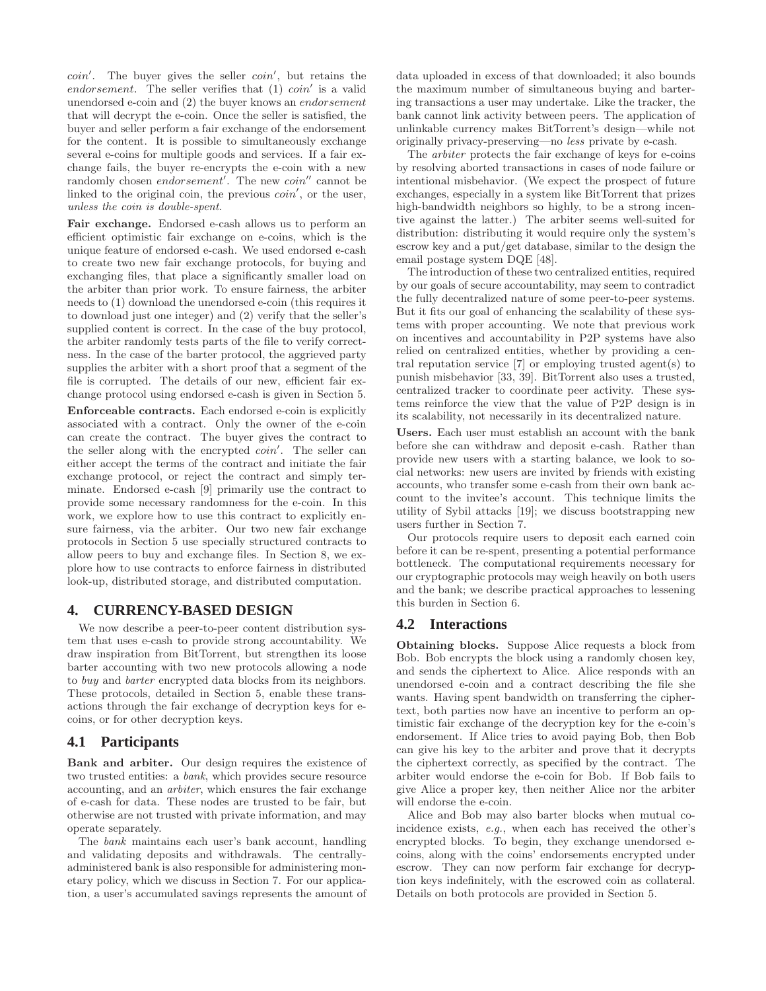coin′ . The buyer gives the seller coin′ , but retains the endorsement. The seller verifies that  $(1)$  coin' is a valid unendorsed e-coin and (2) the buyer knows an endorsement that will decrypt the e-coin. Once the seller is satisfied, the buyer and seller perform a fair exchange of the endorsement for the content. It is possible to simultaneously exchange several e-coins for multiple goods and services. If a fair exchange fails, the buyer re-encrypts the e-coin with a new randomly chosen endorsement'. The new coin" cannot be linked to the original coin, the previous  $coin'$ , or the user, unless the coin is double-spent.

Fair exchange. Endorsed e-cash allows us to perform an efficient optimistic fair exchange on e-coins, which is the unique feature of endorsed e-cash. We used endorsed e-cash to create two new fair exchange protocols, for buying and exchanging files, that place a significantly smaller load on the arbiter than prior work. To ensure fairness, the arbiter needs to (1) download the unendorsed e-coin (this requires it to download just one integer) and (2) verify that the seller's supplied content is correct. In the case of the buy protocol, the arbiter randomly tests parts of the file to verify correctness. In the case of the barter protocol, the aggrieved party supplies the arbiter with a short proof that a segment of the file is corrupted. The details of our new, efficient fair exchange protocol using endorsed e-cash is given in Section 5.

Enforceable contracts. Each endorsed e-coin is explicitly associated with a contract. Only the owner of the e-coin can create the contract. The buyer gives the contract to the seller along with the encrypted  $\overline{coin'}$ . The seller can either accept the terms of the contract and initiate the fair exchange protocol, or reject the contract and simply terminate. Endorsed e-cash [9] primarily use the contract to provide some necessary randomness for the e-coin. In this work, we explore how to use this contract to explicitly ensure fairness, via the arbiter. Our two new fair exchange protocols in Section 5 use specially structured contracts to allow peers to buy and exchange files. In Section 8, we explore how to use contracts to enforce fairness in distributed look-up, distributed storage, and distributed computation.

## **4. CURRENCY-BASED DESIGN**

We now describe a peer-to-peer content distribution system that uses e-cash to provide strong accountability. We draw inspiration from BitTorrent, but strengthen its loose barter accounting with two new protocols allowing a node to buy and barter encrypted data blocks from its neighbors. These protocols, detailed in Section 5, enable these transactions through the fair exchange of decryption keys for ecoins, or for other decryption keys.

## **4.1 Participants**

Bank and arbiter. Our design requires the existence of two trusted entities: a bank, which provides secure resource accounting, and an arbiter, which ensures the fair exchange of e-cash for data. These nodes are trusted to be fair, but otherwise are not trusted with private information, and may operate separately.

The bank maintains each user's bank account, handling and validating deposits and withdrawals. The centrallyadministered bank is also responsible for administering monetary policy, which we discuss in Section 7. For our application, a user's accumulated savings represents the amount of data uploaded in excess of that downloaded; it also bounds the maximum number of simultaneous buying and bartering transactions a user may undertake. Like the tracker, the bank cannot link activity between peers. The application of unlinkable currency makes BitTorrent's design—while not originally privacy-preserving—no less private by e-cash.

The arbiter protects the fair exchange of keys for e-coins by resolving aborted transactions in cases of node failure or intentional misbehavior. (We expect the prospect of future exchanges, especially in a system like BitTorrent that prizes high-bandwidth neighbors so highly, to be a strong incentive against the latter.) The arbiter seems well-suited for distribution: distributing it would require only the system's escrow key and a put/get database, similar to the design the email postage system DQE [48].

The introduction of these two centralized entities, required by our goals of secure accountability, may seem to contradict the fully decentralized nature of some peer-to-peer systems. But it fits our goal of enhancing the scalability of these systems with proper accounting. We note that previous work on incentives and accountability in P2P systems have also relied on centralized entities, whether by providing a central reputation service [7] or employing trusted agent(s) to punish misbehavior [33, 39]. BitTorrent also uses a trusted, centralized tracker to coordinate peer activity. These systems reinforce the view that the value of P2P design is in its scalability, not necessarily in its decentralized nature.

Users. Each user must establish an account with the bank before she can withdraw and deposit e-cash. Rather than provide new users with a starting balance, we look to social networks: new users are invited by friends with existing accounts, who transfer some e-cash from their own bank account to the invitee's account. This technique limits the utility of Sybil attacks [19]; we discuss bootstrapping new users further in Section 7.

Our protocols require users to deposit each earned coin before it can be re-spent, presenting a potential performance bottleneck. The computational requirements necessary for our cryptographic protocols may weigh heavily on both users and the bank; we describe practical approaches to lessening this burden in Section 6.

# **4.2 Interactions**

Obtaining blocks. Suppose Alice requests a block from Bob. Bob encrypts the block using a randomly chosen key, and sends the ciphertext to Alice. Alice responds with an unendorsed e-coin and a contract describing the file she wants. Having spent bandwidth on transferring the ciphertext, both parties now have an incentive to perform an optimistic fair exchange of the decryption key for the e-coin's endorsement. If Alice tries to avoid paying Bob, then Bob can give his key to the arbiter and prove that it decrypts the ciphertext correctly, as specified by the contract. The arbiter would endorse the e-coin for Bob. If Bob fails to give Alice a proper key, then neither Alice nor the arbiter will endorse the e-coin.

Alice and Bob may also barter blocks when mutual coincidence exists, e.g., when each has received the other's encrypted blocks. To begin, they exchange unendorsed ecoins, along with the coins' endorsements encrypted under escrow. They can now perform fair exchange for decryption keys indefinitely, with the escrowed coin as collateral. Details on both protocols are provided in Section 5.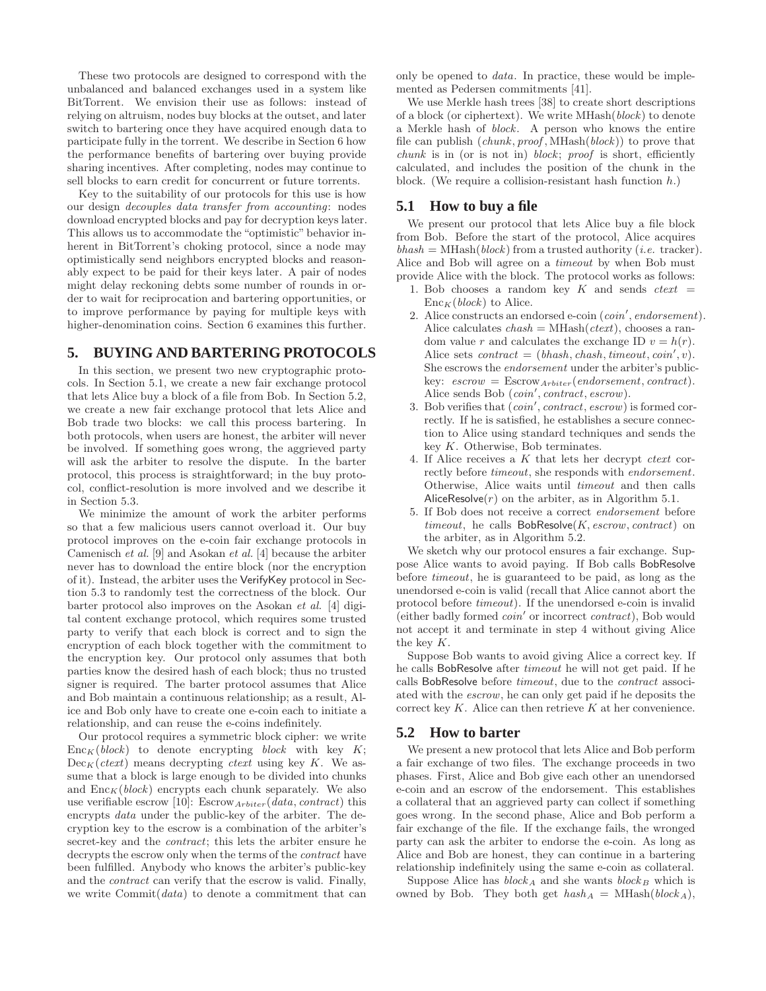These two protocols are designed to correspond with the unbalanced and balanced exchanges used in a system like BitTorrent. We envision their use as follows: instead of relying on altruism, nodes buy blocks at the outset, and later switch to bartering once they have acquired enough data to participate fully in the torrent. We describe in Section 6 how the performance benefits of bartering over buying provide sharing incentives. After completing, nodes may continue to sell blocks to earn credit for concurrent or future torrents.

Key to the suitability of our protocols for this use is how our design decouples data transfer from accounting: nodes download encrypted blocks and pay for decryption keys later. This allows us to accommodate the "optimistic" behavior inherent in BitTorrent's choking protocol, since a node may optimistically send neighbors encrypted blocks and reasonably expect to be paid for their keys later. A pair of nodes might delay reckoning debts some number of rounds in order to wait for reciprocation and bartering opportunities, or to improve performance by paying for multiple keys with higher-denomination coins. Section 6 examines this further.

# **5. BUYING AND BARTERING PROTOCOLS**

In this section, we present two new cryptographic protocols. In Section 5.1, we create a new fair exchange protocol that lets Alice buy a block of a file from Bob. In Section 5.2, we create a new fair exchange protocol that lets Alice and Bob trade two blocks: we call this process bartering. In both protocols, when users are honest, the arbiter will never be involved. If something goes wrong, the aggrieved party will ask the arbiter to resolve the dispute. In the barter protocol, this process is straightforward; in the buy protocol, conflict-resolution is more involved and we describe it in Section 5.3.

We minimize the amount of work the arbiter performs so that a few malicious users cannot overload it. Our buy protocol improves on the e-coin fair exchange protocols in Camenisch et al. [9] and Asokan et al. [4] because the arbiter never has to download the entire block (nor the encryption of it). Instead, the arbiter uses the VerifyKey protocol in Section 5.3 to randomly test the correctness of the block. Our barter protocol also improves on the Asokan et al. [4] digital content exchange protocol, which requires some trusted party to verify that each block is correct and to sign the encryption of each block together with the commitment to the encryption key. Our protocol only assumes that both parties know the desired hash of each block; thus no trusted signer is required. The barter protocol assumes that Alice and Bob maintain a continuous relationship; as a result, Alice and Bob only have to create one e-coin each to initiate a relationship, and can reuse the e-coins indefinitely.

Our protocol requires a symmetric block cipher: we write  $Enc_K(block)$  to denote encrypting block with key K;  $Dec_K(ctext)$  means decrypting *ctext* using key K. We assume that a block is large enough to be divided into chunks and  $Enc_K(block)$  encrypts each chunk separately. We also use verifiable escrow [10]:  $\text{Escrow}_{Arbiter}(data, contract)$  this encrypts *data* under the public-key of the arbiter. The decryption key to the escrow is a combination of the arbiter's secret-key and the *contract*; this lets the arbiter ensure he decrypts the escrow only when the terms of the *contract* have been fulfilled. Anybody who knows the arbiter's public-key and the contract can verify that the escrow is valid. Finally, we write  $\text{Commit}(data)$  to denote a commitment that can only be opened to data. In practice, these would be implemented as Pedersen commitments [41].

We use Merkle hash trees [38] to create short descriptions of a block (or ciphertext). We write MHash(block) to denote a Merkle hash of block. A person who knows the entire file can publish  $(\text{chunk}, \text{proof}, \text{MHash}(\text{block}))$  to prove that chunk is in (or is not in) block; proof is short, efficiently calculated, and includes the position of the chunk in the block. (We require a collision-resistant hash function h.)

## **5.1 How to buy a file**

We present our protocol that lets Alice buy a file block from Bob. Before the start of the protocol, Alice acquires  $bhash = MHash(block)$  from a trusted authority (*i.e.* tracker). Alice and Bob will agree on a timeout by when Bob must provide Alice with the block. The protocol works as follows:

- 1. Bob chooses a random key  $K$  and sends  $ctext =$  $Enc_K(block)$  to Alice.
- 2. Alice constructs an endorsed e-coin (coin', endorsement). Alice calculates  $chash = \text{MHash}(ctext)$ , chooses a random value r and calculates the exchange ID  $v = h(r)$ . Alice sets *contract* = (*bhash*, *chash*, *timeout*, *coin'*, *v*). She escrows the endorsement under the arbiter's publickey:  $\text{escrow} = \text{Escrow}_{Arbiter}(\text{endorsement}, \text{contract}).$ Alice sends Bob (coin', contract, escrow).
- 3. Bob verifies that  $\overline{(coin', contract, escrow)}$  is formed correctly. If he is satisfied, he establishes a secure connection to Alice using standard techniques and sends the key K. Otherwise, Bob terminates.
- 4. If Alice receives a K that lets her decrypt ctext correctly before timeout, she responds with endorsement. Otherwise, Alice waits until timeout and then calls AliceResolve $(r)$  on the arbiter, as in Algorithm 5.1.
- 5. If Bob does not receive a correct endorsement before timeout, he calls  $BobResolve(K, escrow, contract)$  on the arbiter, as in Algorithm 5.2.

We sketch why our protocol ensures a fair exchange. Suppose Alice wants to avoid paying. If Bob calls BobResolve before timeout, he is guaranteed to be paid, as long as the unendorsed e-coin is valid (recall that Alice cannot abort the protocol before timeout). If the unendorsed e-coin is invalid (either badly formed  $\overline{coin}'$  or incorrect  $\overline{contract}$ ), Bob would not accept it and terminate in step 4 without giving Alice the key K.

Suppose Bob wants to avoid giving Alice a correct key. If he calls BobResolve after timeout he will not get paid. If he calls BobResolve before timeout, due to the contract associated with the escrow, he can only get paid if he deposits the correct key  $K$ . Alice can then retrieve  $K$  at her convenience.

### **5.2 How to barter**

We present a new protocol that lets Alice and Bob perform a fair exchange of two files. The exchange proceeds in two phases. First, Alice and Bob give each other an unendorsed e-coin and an escrow of the endorsement. This establishes a collateral that an aggrieved party can collect if something goes wrong. In the second phase, Alice and Bob perform a fair exchange of the file. If the exchange fails, the wronged party can ask the arbiter to endorse the e-coin. As long as Alice and Bob are honest, they can continue in a bartering relationship indefinitely using the same e-coin as collateral.

Suppose Alice has  $block_A$  and she wants  $block_B$  which is owned by Bob. They both get  $hash_A = MHash(block_A),$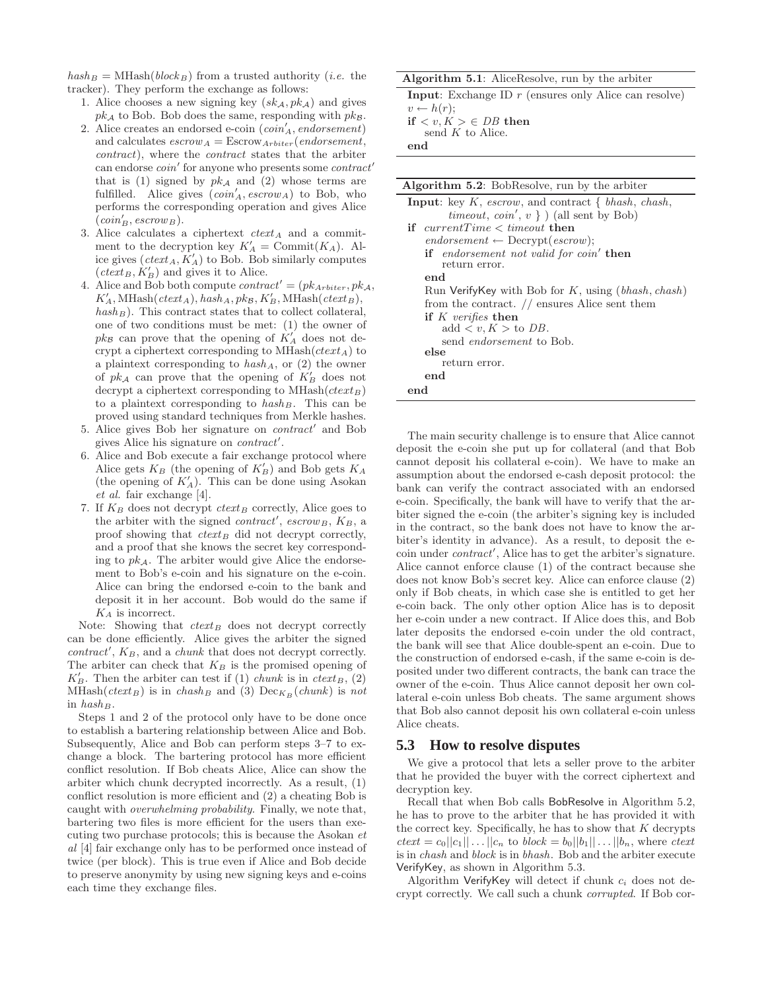$hash_B = \text{MHash}(block_B)$  from a trusted authority (*i.e.* the tracker). They perform the exchange as follows:

- 1. Alice chooses a new signing key  $(sk_{\mathcal{A}}, pk_{\mathcal{A}})$  and gives  $pk_A$  to Bob. Bob does the same, responding with  $pk_B$ .
- 2. Alice creates an endorsed e-coin  $(coin'_A, endorsement)$ and calculates  $\textit{escrow}_A = \text{Escrow}_{Arbiter}(\textit{endorsement},$ contract), where the contract states that the arbiter can endorse  $coin'$  for anyone who presents some  $contract'$ that is (1) signed by  $pk_A$  and (2) whose terms are fulfilled. Alice gives  $(coin'_A, escrow_A)$  to Bob, who performs the corresponding operation and gives Alice  $(coin'_B, escrow_B).$
- 3. Alice calculates a ciphertext  $ctext_A$  and a commitment to the decryption key  $K'_A = \text{Commit}(K_A)$ . Alice gives  $(ctext_A, K'_A)$  to Bob. Bob similarly computes  $(\text{ctext}_B, \overset{\sim}{K_B})$  and gives it to Alice.
- 4. Alice and Bob both compute  $contract' = (pk_{Arbiter}, pk_{A},$  $K'_A$ , MHash( $ctext_A$ ), hash<sub>A</sub>, pk<sub>B</sub>,  $K'_B$ , MHash( $ctext_B$ ),  $hash_B$ ). This contract states that to collect collateral, one of two conditions must be met: (1) the owner of  $pk_{\mathcal{B}}$  can prove that the opening of  $K'_{\mathcal{A}}$  does not decrypt a ciphertext corresponding to  $MHash(ctext_A)$  to a plaintext corresponding to  $hash_A$ , or  $(2)$  the owner of  $pk_{\mathcal{A}}$  can prove that the opening of  $K'_{B}$  does not decrypt a ciphertext corresponding to  $MHash(ctext_B)$ to a plaintext corresponding to  $hash_B$ . This can be proved using standard techniques from Merkle hashes.
- 5. Alice gives Bob her signature on contract′ and Bob gives Alice his signature on contract′ .
- 6. Alice and Bob execute a fair exchange protocol where Alice gets  $K_B$  (the opening of  $K'_B$ ) and Bob gets  $K_A$ (the opening of  $K'_A$ ). This can be done using Asokan et al. fair exchange [4].
- 7. If  $K_B$  does not decrypt ctext<sub>B</sub> correctly, Alice goes to the arbiter with the signed *contract'*, *escrow*<sub>B</sub>,  $K_B$ , a proof showing that  $ctext_B$  did not decrypt correctly, and a proof that she knows the secret key corresponding to  $pk_A$ . The arbiter would give Alice the endorsement to Bob's e-coin and his signature on the e-coin. Alice can bring the endorsed e-coin to the bank and deposit it in her account. Bob would do the same if  $K_A$  is incorrect.

Note: Showing that  $ctext_B$  does not decrypt correctly can be done efficiently. Alice gives the arbiter the signed  $contract', K_B$ , and a *chunk* that does not decrypt correctly. The arbiter can check that  $K_B$  is the promised opening of  $K'_B$ . Then the arbiter can test if (1) *chunk* is in *ctext<sub>B</sub>*, (2)  $MHash(ctext_B)$  is in chash<sub>B</sub> and (3)  $Dec_{K_B}(chunk)$  is not in  $hash_B$ .

Steps 1 and 2 of the protocol only have to be done once to establish a bartering relationship between Alice and Bob. Subsequently, Alice and Bob can perform steps 3–7 to exchange a block. The bartering protocol has more efficient conflict resolution. If Bob cheats Alice, Alice can show the arbiter which chunk decrypted incorrectly. As a result, (1) conflict resolution is more efficient and (2) a cheating Bob is caught with overwhelming probability. Finally, we note that, bartering two files is more efficient for the users than executing two purchase protocols; this is because the Asokan et al [4] fair exchange only has to be performed once instead of twice (per block). This is true even if Alice and Bob decide to preserve anonymity by using new signing keys and e-coins each time they exchange files.

#### Algorithm 5.1: AliceResolve, run by the arbiter

**Input:** Exchange ID  $r$  (ensures only Alice can resolve)  $v \leftarrow h(r);$ if  $\langle v, K \rangle \in DB$  then send  $K$  to Alice. end

| <b>Algorithm 5.2</b> : BobResolve, run by the arbiter                   |
|-------------------------------------------------------------------------|
| <b>Input:</b> key $K$ , <i>escrow</i> , and contract $\{bhash, chash\}$ |
| <i>timeout, coin', v</i> } ) (all sent by Bob)                          |
| if $currentTime < timeout$ then                                         |
| $endorsement \leftarrow$ Decrypt( $escrow$ );                           |
| <b>if</b> endorsement not valid for coin' then                          |
| return error.                                                           |
| end                                                                     |
| Run VerifyKey with Bob for $K$ , using $(bhash, chash)$                 |
| from the contract. $//$ ensures Alice sent them                         |
| if K verifies then                                                      |
| add < v, K > to DB.                                                     |
| send <i>endorsement</i> to Bob.                                         |
| else                                                                    |
| return error.                                                           |
| end                                                                     |
| end                                                                     |
|                                                                         |

The main security challenge is to ensure that Alice cannot deposit the e-coin she put up for collateral (and that Bob cannot deposit his collateral e-coin). We have to make an assumption about the endorsed e-cash deposit protocol: the bank can verify the contract associated with an endorsed e-coin. Specifically, the bank will have to verify that the arbiter signed the e-coin (the arbiter's signing key is included in the contract, so the bank does not have to know the arbiter's identity in advance). As a result, to deposit the ecoin under contract′ , Alice has to get the arbiter's signature. Alice cannot enforce clause (1) of the contract because she does not know Bob's secret key. Alice can enforce clause (2) only if Bob cheats, in which case she is entitled to get her e-coin back. The only other option Alice has is to deposit her e-coin under a new contract. If Alice does this, and Bob later deposits the endorsed e-coin under the old contract, the bank will see that Alice double-spent an e-coin. Due to the construction of endorsed e-cash, if the same e-coin is deposited under two different contracts, the bank can trace the owner of the e-coin. Thus Alice cannot deposit her own collateral e-coin unless Bob cheats. The same argument shows that Bob also cannot deposit his own collateral e-coin unless Alice cheats.

#### **5.3 How to resolve disputes**

We give a protocol that lets a seller prove to the arbiter that he provided the buyer with the correct ciphertext and decryption key.

Recall that when Bob calls BobResolve in Algorithm 5.2, he has to prove to the arbiter that he has provided it with the correct key. Specifically, he has to show that  $K$  decrypts  $ctext = c_0 ||c_1|| \dots ||c_n$  to  $block = b_0 ||b_1|| \dots ||b_n$ , where  $ctext$ is in chash and block is in bhash. Bob and the arbiter execute VerifyKey, as shown in Algorithm 5.3.

Algorithm VerifyKey will detect if chunk  $c_i$  does not decrypt correctly. We call such a chunk corrupted. If Bob cor-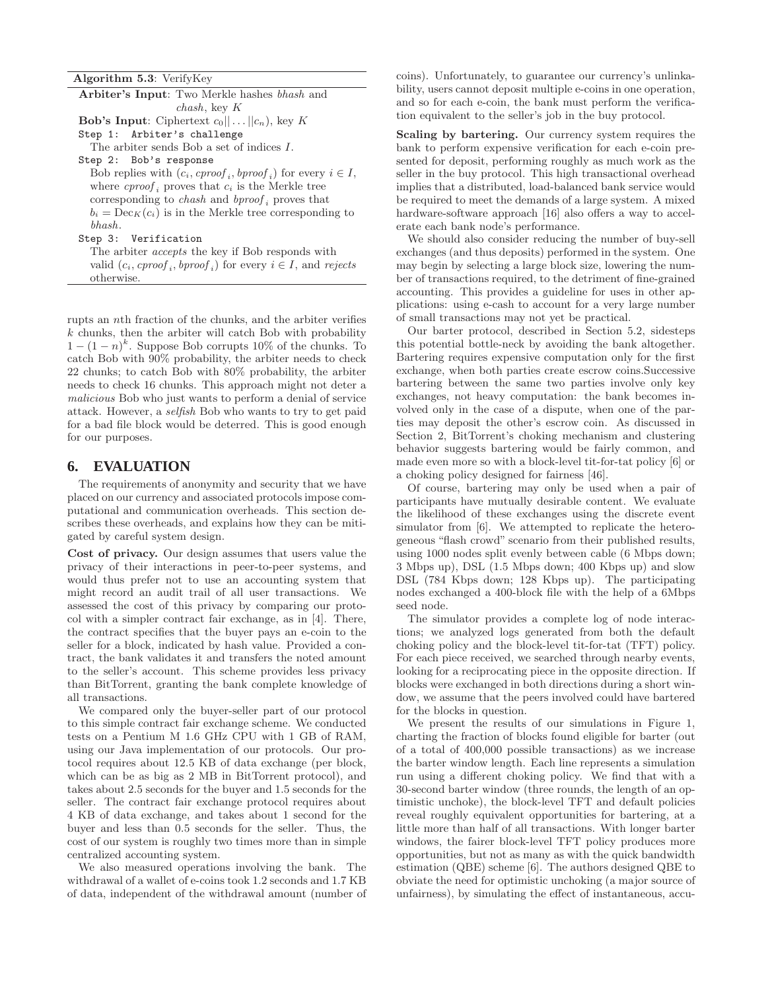#### Algorithm 5.3: VerifyKey

| <b>Arbiter's Input:</b> Two Merkle hashes <i>bhash</i> and                        |
|-----------------------------------------------------------------------------------|
| $chash$ , key $K$                                                                 |
| <b>Bob's Input:</b> Ciphertext $c_0  \dots  c_n$ , key K                          |
| Step 1: Arbiter's challenge                                                       |
| The arbiter sends Bob a set of indices I.                                         |
| Step 2: Bob's response                                                            |
| Bob replies with $(c_i, \text{cproof}_i, \text{bproof}_i)$ for every $i \in I$ ,  |
| where $\textit{cproof}_i$ proves that $c_i$ is the Merkle tree                    |
| corresponding to <i>chash</i> and $bproofi$ proves that                           |
| $b_i = \text{Dec}_K(c_i)$ is in the Merkle tree corresponding to                  |
| bhash.                                                                            |
| Step 3: Verification                                                              |
| The arbiter <i>accepts</i> the key if Bob responds with                           |
| valid $(c_i, \text{cproof}_i, \text{bproof}_i)$ for every $i \in I$ , and rejects |
| otherwise.                                                                        |

rupts an nth fraction of the chunks, and the arbiter verifies k chunks, then the arbiter will catch Bob with probability  $1 - (1 - n)^k$ . Suppose Bob corrupts 10% of the chunks. To catch Bob with 90% probability, the arbiter needs to check 22 chunks; to catch Bob with 80% probability, the arbiter needs to check 16 chunks. This approach might not deter a malicious Bob who just wants to perform a denial of service attack. However, a selfish Bob who wants to try to get paid for a bad file block would be deterred. This is good enough for our purposes.

## **6. EVALUATION**

The requirements of anonymity and security that we have placed on our currency and associated protocols impose computational and communication overheads. This section describes these overheads, and explains how they can be mitigated by careful system design.

Cost of privacy. Our design assumes that users value the privacy of their interactions in peer-to-peer systems, and would thus prefer not to use an accounting system that might record an audit trail of all user transactions. We assessed the cost of this privacy by comparing our protocol with a simpler contract fair exchange, as in [4]. There, the contract specifies that the buyer pays an e-coin to the seller for a block, indicated by hash value. Provided a contract, the bank validates it and transfers the noted amount to the seller's account. This scheme provides less privacy than BitTorrent, granting the bank complete knowledge of all transactions.

We compared only the buyer-seller part of our protocol to this simple contract fair exchange scheme. We conducted tests on a Pentium M 1.6 GHz CPU with 1 GB of RAM, using our Java implementation of our protocols. Our protocol requires about 12.5 KB of data exchange (per block, which can be as big as 2 MB in BitTorrent protocol), and takes about 2.5 seconds for the buyer and 1.5 seconds for the seller. The contract fair exchange protocol requires about 4 KB of data exchange, and takes about 1 second for the buyer and less than 0.5 seconds for the seller. Thus, the cost of our system is roughly two times more than in simple centralized accounting system.

We also measured operations involving the bank. The withdrawal of a wallet of e-coins took 1.2 seconds and 1.7 KB of data, independent of the withdrawal amount (number of coins). Unfortunately, to guarantee our currency's unlinkability, users cannot deposit multiple e-coins in one operation, and so for each e-coin, the bank must perform the verification equivalent to the seller's job in the buy protocol.

Scaling by bartering. Our currency system requires the bank to perform expensive verification for each e-coin presented for deposit, performing roughly as much work as the seller in the buy protocol. This high transactional overhead implies that a distributed, load-balanced bank service would be required to meet the demands of a large system. A mixed hardware-software approach [16] also offers a way to accelerate each bank node's performance.

We should also consider reducing the number of buy-sell exchanges (and thus deposits) performed in the system. One may begin by selecting a large block size, lowering the number of transactions required, to the detriment of fine-grained accounting. This provides a guideline for uses in other applications: using e-cash to account for a very large number of small transactions may not yet be practical.

Our barter protocol, described in Section 5.2, sidesteps this potential bottle-neck by avoiding the bank altogether. Bartering requires expensive computation only for the first exchange, when both parties create escrow coins.Successive bartering between the same two parties involve only key exchanges, not heavy computation: the bank becomes involved only in the case of a dispute, when one of the parties may deposit the other's escrow coin. As discussed in Section 2, BitTorrent's choking mechanism and clustering behavior suggests bartering would be fairly common, and made even more so with a block-level tit-for-tat policy [6] or a choking policy designed for fairness [46].

Of course, bartering may only be used when a pair of participants have mutually desirable content. We evaluate the likelihood of these exchanges using the discrete event simulator from [6]. We attempted to replicate the heterogeneous "flash crowd" scenario from their published results, using 1000 nodes split evenly between cable (6 Mbps down; 3 Mbps up), DSL (1.5 Mbps down; 400 Kbps up) and slow DSL (784 Kbps down; 128 Kbps up). The participating nodes exchanged a 400-block file with the help of a 6Mbps seed node.

The simulator provides a complete log of node interactions; we analyzed logs generated from both the default choking policy and the block-level tit-for-tat (TFT) policy. For each piece received, we searched through nearby events, looking for a reciprocating piece in the opposite direction. If blocks were exchanged in both directions during a short window, we assume that the peers involved could have bartered for the blocks in question.

We present the results of our simulations in Figure 1, charting the fraction of blocks found eligible for barter (out of a total of 400,000 possible transactions) as we increase the barter window length. Each line represents a simulation run using a different choking policy. We find that with a 30-second barter window (three rounds, the length of an optimistic unchoke), the block-level TFT and default policies reveal roughly equivalent opportunities for bartering, at a little more than half of all transactions. With longer barter windows, the fairer block-level TFT policy produces more opportunities, but not as many as with the quick bandwidth estimation (QBE) scheme [6]. The authors designed QBE to obviate the need for optimistic unchoking (a major source of unfairness), by simulating the effect of instantaneous, accu-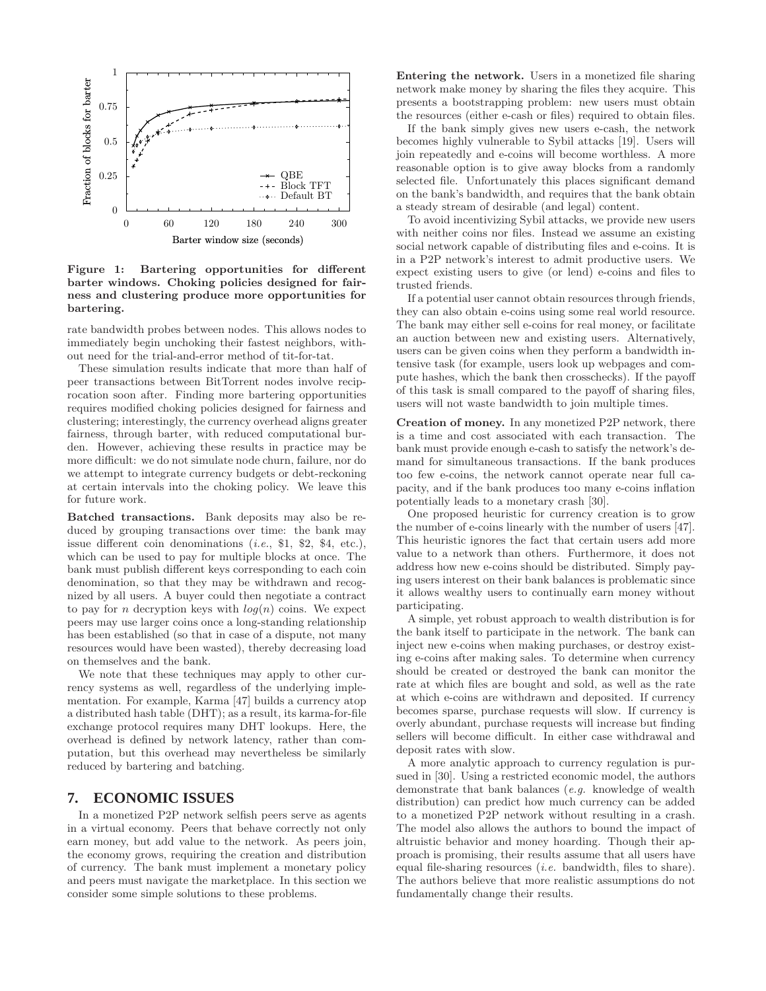

Figure 1: Bartering opportunities for different barter windows. Choking policies designed for fairness and clustering produce more opportunities for bartering.

rate bandwidth probes between nodes. This allows nodes to immediately begin unchoking their fastest neighbors, without need for the trial-and-error method of tit-for-tat.

These simulation results indicate that more than half of peer transactions between BitTorrent nodes involve reciprocation soon after. Finding more bartering opportunities requires modified choking policies designed for fairness and clustering; interestingly, the currency overhead aligns greater fairness, through barter, with reduced computational burden. However, achieving these results in practice may be more difficult: we do not simulate node churn, failure, nor do we attempt to integrate currency budgets or debt-reckoning at certain intervals into the choking policy. We leave this for future work.

Batched transactions. Bank deposits may also be reduced by grouping transactions over time: the bank may issue different coin denominations (i.e., \$1, \$2, \$4, etc.), which can be used to pay for multiple blocks at once. The bank must publish different keys corresponding to each coin denomination, so that they may be withdrawn and recognized by all users. A buyer could then negotiate a contract to pay for n decryption keys with  $log(n)$  coins. We expect peers may use larger coins once a long-standing relationship has been established (so that in case of a dispute, not many resources would have been wasted), thereby decreasing load on themselves and the bank.

We note that these techniques may apply to other currency systems as well, regardless of the underlying implementation. For example, Karma [47] builds a currency atop a distributed hash table (DHT); as a result, its karma-for-file exchange protocol requires many DHT lookups. Here, the overhead is defined by network latency, rather than computation, but this overhead may nevertheless be similarly reduced by bartering and batching.

# **7. ECONOMIC ISSUES**

In a monetized P2P network selfish peers serve as agents in a virtual economy. Peers that behave correctly not only earn money, but add value to the network. As peers join, the economy grows, requiring the creation and distribution of currency. The bank must implement a monetary policy and peers must navigate the marketplace. In this section we consider some simple solutions to these problems.

Entering the network. Users in a monetized file sharing network make money by sharing the files they acquire. This presents a bootstrapping problem: new users must obtain the resources (either e-cash or files) required to obtain files.

If the bank simply gives new users e-cash, the network becomes highly vulnerable to Sybil attacks [19]. Users will join repeatedly and e-coins will become worthless. A more reasonable option is to give away blocks from a randomly selected file. Unfortunately this places significant demand on the bank's bandwidth, and requires that the bank obtain a steady stream of desirable (and legal) content.

To avoid incentivizing Sybil attacks, we provide new users with neither coins nor files. Instead we assume an existing social network capable of distributing files and e-coins. It is in a P2P network's interest to admit productive users. We expect existing users to give (or lend) e-coins and files to trusted friends.

If a potential user cannot obtain resources through friends, they can also obtain e-coins using some real world resource. The bank may either sell e-coins for real money, or facilitate an auction between new and existing users. Alternatively, users can be given coins when they perform a bandwidth intensive task (for example, users look up webpages and compute hashes, which the bank then crosschecks). If the payoff of this task is small compared to the payoff of sharing files, users will not waste bandwidth to join multiple times.

Creation of money. In any monetized P2P network, there is a time and cost associated with each transaction. The bank must provide enough e-cash to satisfy the network's demand for simultaneous transactions. If the bank produces too few e-coins, the network cannot operate near full capacity, and if the bank produces too many e-coins inflation potentially leads to a monetary crash [30].

One proposed heuristic for currency creation is to grow the number of e-coins linearly with the number of users [47]. This heuristic ignores the fact that certain users add more value to a network than others. Furthermore, it does not address how new e-coins should be distributed. Simply paying users interest on their bank balances is problematic since it allows wealthy users to continually earn money without participating.

A simple, yet robust approach to wealth distribution is for the bank itself to participate in the network. The bank can inject new e-coins when making purchases, or destroy existing e-coins after making sales. To determine when currency should be created or destroyed the bank can monitor the rate at which files are bought and sold, as well as the rate at which e-coins are withdrawn and deposited. If currency becomes sparse, purchase requests will slow. If currency is overly abundant, purchase requests will increase but finding sellers will become difficult. In either case withdrawal and deposit rates with slow.

A more analytic approach to currency regulation is pursued in [30]. Using a restricted economic model, the authors demonstrate that bank balances (e.g. knowledge of wealth distribution) can predict how much currency can be added to a monetized P2P network without resulting in a crash. The model also allows the authors to bound the impact of altruistic behavior and money hoarding. Though their approach is promising, their results assume that all users have equal file-sharing resources (i.e. bandwidth, files to share). The authors believe that more realistic assumptions do not fundamentally change their results.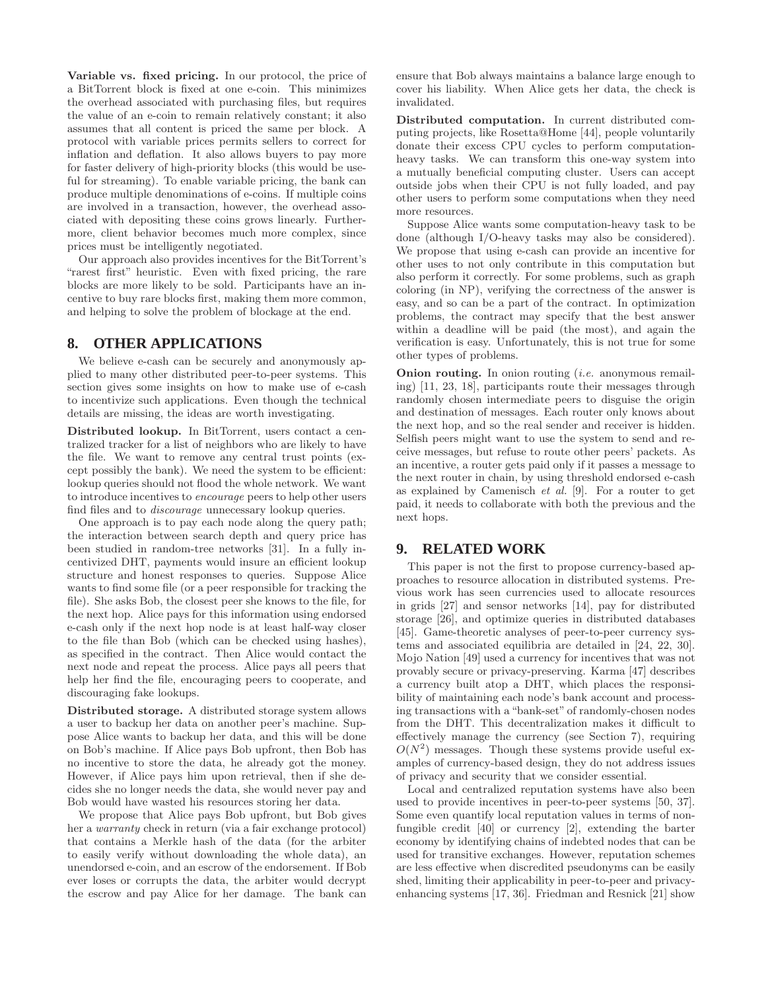Variable vs. fixed pricing. In our protocol, the price of a BitTorrent block is fixed at one e-coin. This minimizes the overhead associated with purchasing files, but requires the value of an e-coin to remain relatively constant; it also assumes that all content is priced the same per block. A protocol with variable prices permits sellers to correct for inflation and deflation. It also allows buyers to pay more for faster delivery of high-priority blocks (this would be useful for streaming). To enable variable pricing, the bank can produce multiple denominations of e-coins. If multiple coins are involved in a transaction, however, the overhead associated with depositing these coins grows linearly. Furthermore, client behavior becomes much more complex, since prices must be intelligently negotiated.

Our approach also provides incentives for the BitTorrent's "rarest first" heuristic. Even with fixed pricing, the rare blocks are more likely to be sold. Participants have an incentive to buy rare blocks first, making them more common, and helping to solve the problem of blockage at the end.

## **8. OTHER APPLICATIONS**

We believe e-cash can be securely and anonymously applied to many other distributed peer-to-peer systems. This section gives some insights on how to make use of e-cash to incentivize such applications. Even though the technical details are missing, the ideas are worth investigating.

Distributed lookup. In BitTorrent, users contact a centralized tracker for a list of neighbors who are likely to have the file. We want to remove any central trust points (except possibly the bank). We need the system to be efficient: lookup queries should not flood the whole network. We want to introduce incentives to encourage peers to help other users find files and to discourage unnecessary lookup queries.

One approach is to pay each node along the query path; the interaction between search depth and query price has been studied in random-tree networks [31]. In a fully incentivized DHT, payments would insure an efficient lookup structure and honest responses to queries. Suppose Alice wants to find some file (or a peer responsible for tracking the file). She asks Bob, the closest peer she knows to the file, for the next hop. Alice pays for this information using endorsed e-cash only if the next hop node is at least half-way closer to the file than Bob (which can be checked using hashes), as specified in the contract. Then Alice would contact the next node and repeat the process. Alice pays all peers that help her find the file, encouraging peers to cooperate, and discouraging fake lookups.

Distributed storage. A distributed storage system allows a user to backup her data on another peer's machine. Suppose Alice wants to backup her data, and this will be done on Bob's machine. If Alice pays Bob upfront, then Bob has no incentive to store the data, he already got the money. However, if Alice pays him upon retrieval, then if she decides she no longer needs the data, she would never pay and Bob would have wasted his resources storing her data.

We propose that Alice pays Bob upfront, but Bob gives her a warranty check in return (via a fair exchange protocol) that contains a Merkle hash of the data (for the arbiter to easily verify without downloading the whole data), an unendorsed e-coin, and an escrow of the endorsement. If Bob ever loses or corrupts the data, the arbiter would decrypt the escrow and pay Alice for her damage. The bank can ensure that Bob always maintains a balance large enough to cover his liability. When Alice gets her data, the check is invalidated.

Distributed computation. In current distributed computing projects, like Rosetta@Home [44], people voluntarily donate their excess CPU cycles to perform computationheavy tasks. We can transform this one-way system into a mutually beneficial computing cluster. Users can accept outside jobs when their CPU is not fully loaded, and pay other users to perform some computations when they need more resources.

Suppose Alice wants some computation-heavy task to be done (although I/O-heavy tasks may also be considered). We propose that using e-cash can provide an incentive for other uses to not only contribute in this computation but also perform it correctly. For some problems, such as graph coloring (in NP), verifying the correctness of the answer is easy, and so can be a part of the contract. In optimization problems, the contract may specify that the best answer within a deadline will be paid (the most), and again the verification is easy. Unfortunately, this is not true for some other types of problems.

Onion routing. In onion routing (i.e. anonymous remailing) [11, 23, 18], participants route their messages through randomly chosen intermediate peers to disguise the origin and destination of messages. Each router only knows about the next hop, and so the real sender and receiver is hidden. Selfish peers might want to use the system to send and receive messages, but refuse to route other peers' packets. As an incentive, a router gets paid only if it passes a message to the next router in chain, by using threshold endorsed e-cash as explained by Camenisch et al. [9]. For a router to get paid, it needs to collaborate with both the previous and the next hops.

### **9. RELATED WORK**

This paper is not the first to propose currency-based approaches to resource allocation in distributed systems. Previous work has seen currencies used to allocate resources in grids [27] and sensor networks [14], pay for distributed storage [26], and optimize queries in distributed databases [45]. Game-theoretic analyses of peer-to-peer currency systems and associated equilibria are detailed in [24, 22, 30]. Mojo Nation [49] used a currency for incentives that was not provably secure or privacy-preserving. Karma [47] describes a currency built atop a DHT, which places the responsibility of maintaining each node's bank account and processing transactions with a "bank-set" of randomly-chosen nodes from the DHT. This decentralization makes it difficult to effectively manage the currency (see Section 7), requiring  $O(N^2)$  messages. Though these systems provide useful examples of currency-based design, they do not address issues of privacy and security that we consider essential.

Local and centralized reputation systems have also been used to provide incentives in peer-to-peer systems [50, 37]. Some even quantify local reputation values in terms of nonfungible credit [40] or currency [2], extending the barter economy by identifying chains of indebted nodes that can be used for transitive exchanges. However, reputation schemes are less effective when discredited pseudonyms can be easily shed, limiting their applicability in peer-to-peer and privacyenhancing systems [17, 36]. Friedman and Resnick [21] show